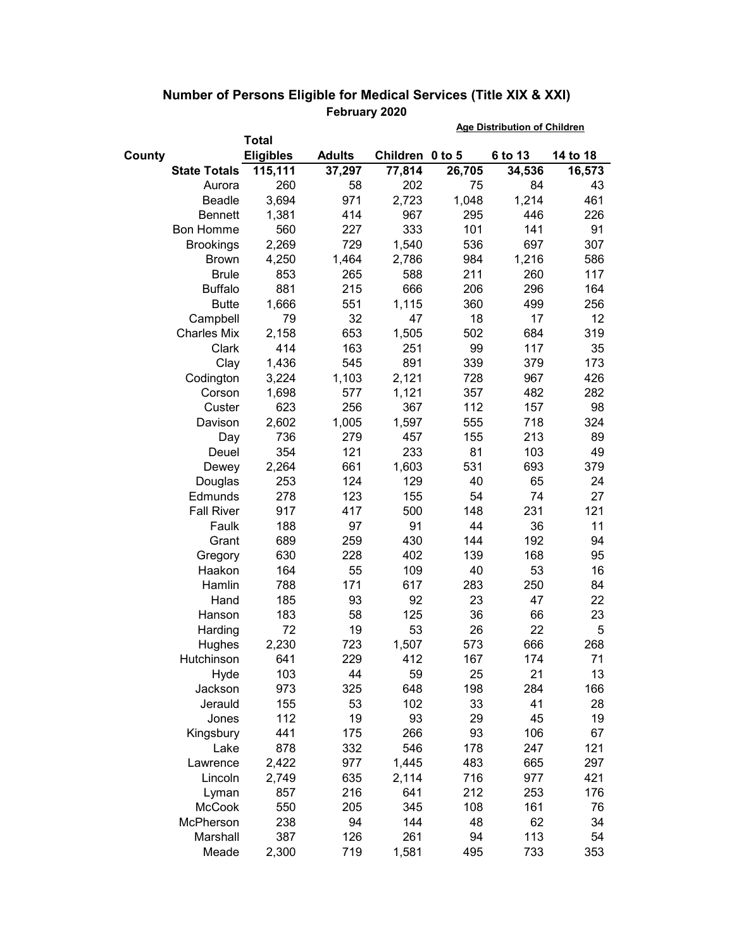|                     |                  |               | <b>Age Distribution of Children</b> |        |         |          |
|---------------------|------------------|---------------|-------------------------------------|--------|---------|----------|
|                     | Total            |               |                                     |        |         |          |
| County              | <b>Eligibles</b> | <b>Adults</b> | Children 0 to 5                     |        | 6 to 13 | 14 to 18 |
| <b>State Totals</b> | 115,111          | 37,297        | 77,814                              | 26,705 | 34,536  | 16,573   |
| Aurora              | 260              | 58            | 202                                 | 75     | 84      | 43       |
| Beadle              | 3,694            | 971           | 2,723                               | 1,048  | 1,214   | 461      |
| <b>Bennett</b>      | 1,381            | 414           | 967                                 | 295    | 446     | 226      |
| <b>Bon Homme</b>    | 560              | 227           | 333                                 | 101    | 141     | 91       |
| <b>Brookings</b>    | 2,269            | 729           | 1,540                               | 536    | 697     | 307      |
| <b>Brown</b>        | 4,250            | 1,464         | 2,786                               | 984    | 1,216   | 586      |
| <b>Brule</b>        | 853              | 265           | 588                                 | 211    | 260     | 117      |
| <b>Buffalo</b>      | 881              | 215           | 666                                 | 206    | 296     | 164      |
| <b>Butte</b>        | 1,666            | 551           | 1,115                               | 360    | 499     | 256      |
| Campbell            | 79               | 32            | 47                                  | 18     | 17      | 12       |
| <b>Charles Mix</b>  | 2,158            | 653           | 1,505                               | 502    | 684     | 319      |
| Clark               | 414              | 163           | 251                                 | 99     | 117     | 35       |
| Clay                | 1,436            | 545           | 891                                 | 339    | 379     | 173      |
| Codington           | 3,224            | 1,103         | 2,121                               | 728    | 967     | 426      |
| Corson              | 1,698            | 577           | 1,121                               | 357    | 482     | 282      |
| Custer              | 623              | 256           | 367                                 | 112    | 157     | 98       |
| Davison             | 2,602            | 1,005         | 1,597                               | 555    | 718     | 324      |
| Day                 | 736              | 279           | 457                                 | 155    | 213     | 89       |
| Deuel               | 354              | 121           | 233                                 | 81     | 103     | 49       |
| Dewey               | 2,264            | 661           | 1,603                               | 531    | 693     | 379      |
| Douglas             | 253              | 124           | 129                                 | 40     | 65      | 24       |
| Edmunds             | 278              | 123           | 155                                 | 54     | 74      | 27       |
| <b>Fall River</b>   | 917              | 417           | 500                                 | 148    | 231     | 121      |
| Faulk               | 188              | 97            | 91                                  | 44     | 36      | 11       |
| Grant               | 689              | 259           | 430                                 | 144    | 192     | 94       |
| Gregory             | 630              | 228           | 402                                 | 139    | 168     | 95       |
| Haakon              | 164              | 55            | 109                                 | 40     | 53      | 16       |
| Hamlin              | 788              | 171           | 617                                 | 283    | 250     | 84       |
| Hand                | 185              | 93            | 92                                  | 23     | 47      | 22       |
| Hanson              | 183              | 58            | 125                                 | 36     | 66      | 23       |
| Harding             | 72               | 19            | 53                                  | 26     | 22      | 5        |
| Hughes              | 2,230            | 723           | 1,507                               | 573    | 666     | 268      |
| Hutchinson          | 641              | 229           | 412                                 | 167    | 174     | 71       |
| Hyde                | 103              | 44            | 59                                  | 25     | 21      | 13       |
| Jackson             | 973              | 325           | 648                                 | 198    | 284     | 166      |
| Jerauld             | 155              | 53            | 102                                 | 33     | 41      | 28       |
| Jones               | 112              | 19            | 93                                  | 29     | 45      | 19       |
| Kingsbury           | 441              | 175           | 266                                 | 93     | 106     | 67       |
| Lake                | 878              | 332           | 546                                 | 178    | 247     | 121      |
| Lawrence            | 2,422            | 977           | 1,445                               | 483    | 665     | 297      |
| Lincoln             | 2,749            | 635           | 2,114                               | 716    | 977     | 421      |
| Lyman               | 857              | 216           | 641                                 | 212    | 253     | 176      |
| <b>McCook</b>       | 550              | 205           | 345                                 | 108    | 161     | 76       |
| McPherson           | 238              | 94            | 144                                 | 48     | 62      | 34       |
| Marshall            | 387              | 126           | 261                                 | 94     | 113     | 54       |
| Meade               | 2,300            | 719           | 1,581                               | 495    | 733     | 353      |

## **Number of Persons Eligible for Medical Services (Title XIX & XXI) February 2020**